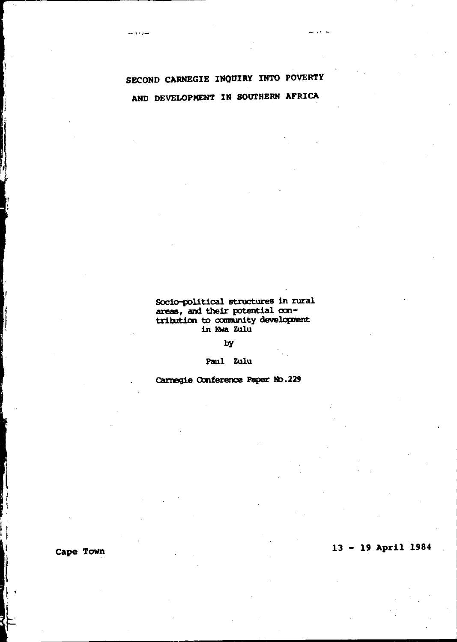د د د م

Socio-political structures in rural areas, and their potential con-<br>tribution to community development in Kwa Zulu

by

Paul Zulu

Carnegie Conference Paper No.229

Cape Town

# $13 - 19$  April 1984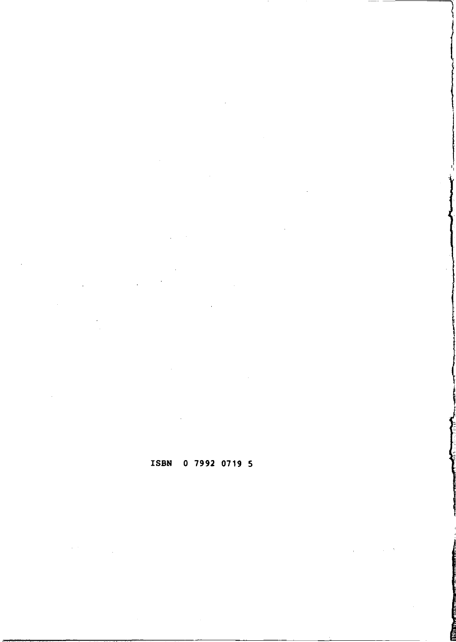ISBN 0 7992 0719 5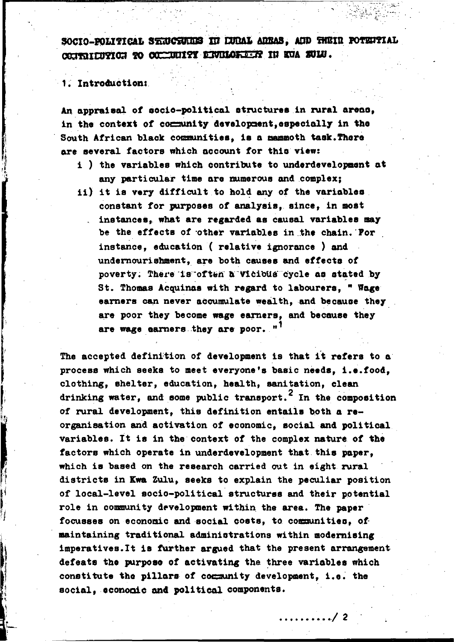SOCIO-POLITICAL STRUCTURES IN LUDAL ARBAS. AND THEIR POTENTIAL COURTILITION TO COMMUNIST ENVILORATIVE IN KVA SULU.

1. Introduction:

An appraisal of socio-political structures in rural areas, in the context of community development, especially in the South African black communities, is a mammoth task. There are several factors which account for this view:

- i) the variables which contribute to underdevelopment at any particular time are mumerous and complex;
- ii) it is very difficult to hold any of the variables. constant for purposes of analysis, since, in most instances, what are regarded as causal variables may be the effects of other variables in the chain. For instance, education (relative ignorance) and undernourishment, are both causes and effects of poverty. There is often a vicious cycle as stated by St. Thomas Acquinas with regard to labourers. " Wage earners can never accumulate wealth, and because they are poor they become wage earners, and because they are wage earners they are poor. "<sup>1</sup>

The accepted definition of development is that it refers to a process which seeks to meet everyone's basic needs. i.e.food. clothing, shelter, education, health, sanitation, clean drinking water, and some public transport.<sup>2</sup> In the composition of rural development, this definition entails both a reorganisation and activation of economic, social and political variables. It is in the context of the complex nature of the factors which operate in underdevelopment that this paper. which is based on the research carried out in eight rural districts in Kwa Zulu, seeks to explain the peculiar position of local-level socio-political structures and their potential role in community development within the area. The paper focusses on economic and social costs, to communities, of maintaining traditional administrations within modernising imperatives. It is further argued that the present arrangement defeats the purpose of activating the three variables which constitute the pillars of community development, i.e. the social, economic and political components.

. . . . . . . . / 2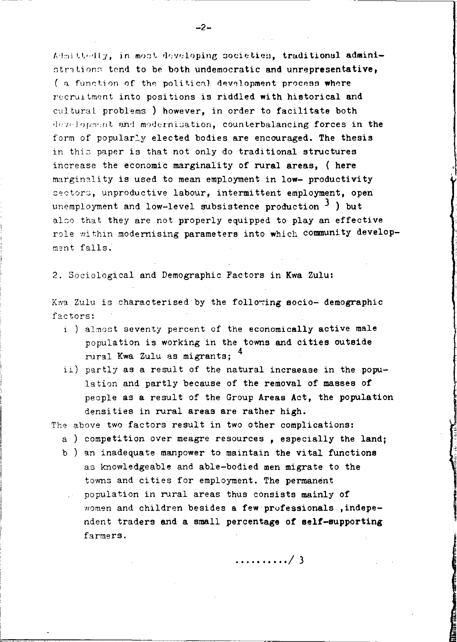Admittedly, in most developing societies, traditional administrations tend to be both undemocratic and unrepresentative. (a function of the political development process where recruitment into positions is riddled with historical and cultural problems ) however, in order to facilitate both development and modernisation, counterbalancing forces in the form of popularly elected bodies are encouraged. The thesis in this paper is that not only do traditional structures increase the economic marginality of rural areas. ( here marginality is used to mean employment in low- productivity sectors, unproductive labour, intermittent employment, open unemployment and low-level subsistence production  $3$  ) but also that they are not properly equipped to play an effective role within modernising parameters into which community development falls.

2. Sociological and Demographic Factors in Kwa Zulu:

Kwa Zulu is characterised by the following socio- demographic factors:

- i ) almost seventy percent of the economically active male population is working in the towns and cities outside rural Kwa Zulu as migrants: 4
- ii) partly as a result of the natural incraease in the population and partly because of the removal of masses of people as a result of the Group Areas Act, the population densities in rural areas are rather high.

The above two factors result in two other complications:

- a ) competition over meagre resources, especially the land:
- b) an inadequate manpower to maintain the vital functions as knowledgeable and able-bodied men migrate to the towns and cities for employment. The permanent population in rural areas thus consists mainly of
	- women and children besides a few professionals, independent traders and a small percentage of self-supporting farmers.

. . . . . . . . . . / 3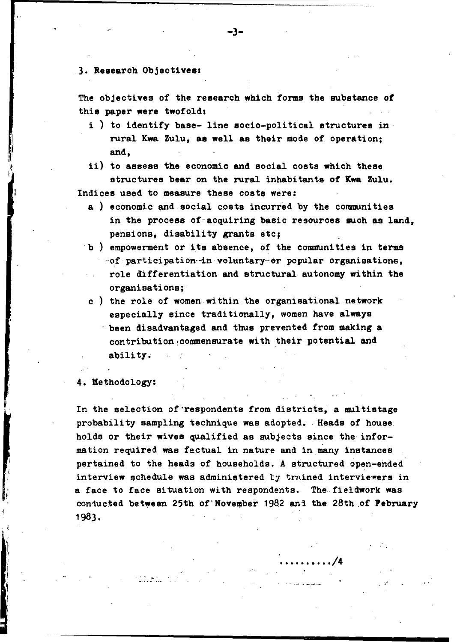### 3. Research Objectives:

The objectives of the research which forms the substance of this paper were twofold:

- i) to identify base-line socio-political structures in rural Kwa Zulu, as well as their mode of operation: and.
- ii) to assess the economic and social costs which these structures bear on the rural inhabitants of Kwa Zulu. Indices used to measure these costs were:
	- a) economic and social costs incurred by the communities in the process of acquiring basic resources such as land. pensions. disability grants etc:
	- b) empowerment or its absence. of the communities in terms of participation-in voluntary-or popular organisations. role differentiation and structural autonomy within the organisations:
	- c) the role of women within the organisational network especially since traditionally, women have always been disadvantaged and thus prevented from making a contribution commensurate with their potential and ability.

4. Methodology:

In the selection of respondents from districts, a multistage probability sampling technique was adopted. Heads of house holds or their wives qualified as subjects since the information required was factual in nature and in many instances pertained to the heads of households. A structured open-ended interview schedule was administered by trained interviewers in a face to face situation with respondents. The fieldwork was conjucted between 25th of November 1982 and the 28th of February 1983.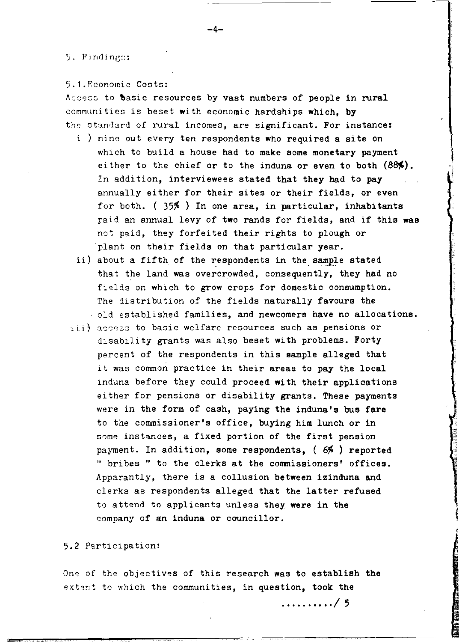### 5. Findings:

5.l.Economic Costs:

Access to basic resources by vast numbers of people in rural communities is beset with economic hardships which. by the standard of rural incomes, are significant. For instance:

- i ) nine out every ten respondents who required a site on which to build a house had to make some monetary payment either to the chief or to the induna or even to both  $(88%)$ . In addition, interviewees stated that they had to pay annually either for their sites or their fields, or even for both.  $(35\%)$  In one area, in particular, inhabitants paid an annual levy of two rands for fields, and if this was not paid, they forfeited their rights to plough or plant on their fields on that particular year.
- ii) about a fifth of the respondents in the sample stated that the land was overcrowded, consequently, they had no fields on which to grow crops for domestic consumption. The distribution of the fields naturally favours the old established families, and newcomers have no allocations.
- $i$ ,  $j$  access to basic welfare resources such as pensions or disability grants was also beset with problems. Forty percent of the respondents in this sample alleged that it was common practice in their areas to pay the local induna before they could proceed with their applications either for pensions or disability grants. These payments were in the form of cash, paying the induna's bus fare to the commissioner's office, buying him lunch or in some instances, a fixed portion of the first pension payment. In addition, some respondents, (6%) reported " bribes " to the clerks at the commissioners' offices. Apparantly, there is a collusion between izinduna and clerks as respondents alleged that the latter refused to attend to applicants unless they were in the company of an induna or councillor.

## 5.2 Participation:

One of the objectives of this research was to establish the extent to which the communities, in question, took the

.......... /5

-4-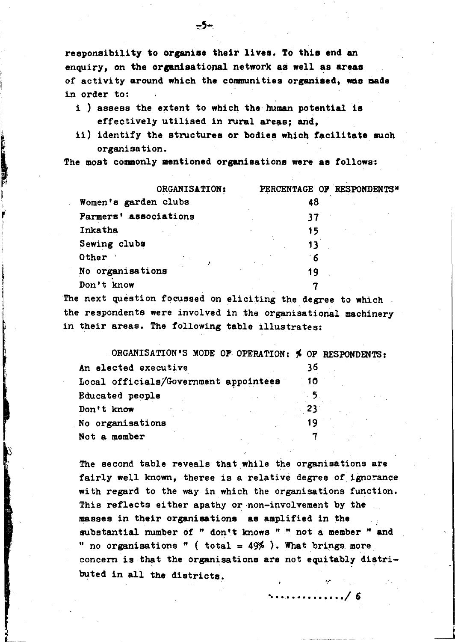responsibility to organiso their lives. To this end an enquiry, on the organisational network as well as areas of activity around which the communities organised, was made in order to:

- i ) assess the extent to which the human potential 1s effectively utilised in rural areas; and,
- ii) identify the structures or bodies which facilitate such organisation.

The most commonly mentioned organisations were as follows:

"

| ORGANISATION:                                                                                                   | PERCENTAGE OF RESPONDENTS* |
|-----------------------------------------------------------------------------------------------------------------|----------------------------|
| Women's garden clubs                                                                                            | 48                         |
| Farmers' associations                                                                                           | 37                         |
| Inkatha                                                                                                         | 15                         |
| Sewing clubs                                                                                                    | 13                         |
| Other                                                                                                           | 6 َ                        |
| No organisations                                                                                                | 19                         |
| Don't know                                                                                                      |                            |
| the contract of the contract of the contract of the contract of the contract of the contract of the contract of |                            |

The next question focussed on eliciting the degree to which the respondents were involved in the organisational machinery in their areas. The following table illustrates:

| ORGANISATION'S MODE OF OPERATION: \$ OF RESPONDENTS: |      |  |
|------------------------------------------------------|------|--|
| An elected executive                                 | 36   |  |
| Local officials/Government appointees                | - 10 |  |
| Educated people                                      |      |  |
| Don't know                                           | -23- |  |
| No organisations                                     | 19   |  |
| Not a member                                         |      |  |

The second table reveals that while the organisations are fairly well known, theree is a relative degree of ignorance with regard to the way in which the organisations function. This reflects either apathy or non-involvement by the masses in their organisations as amplified in the substantial number of " don't knows " " not a member " and " no organisations " ( total =  $49\%$  ). What brings more concern is that the organisations are not equitably distributed in all the districts.

~ .........••... / 6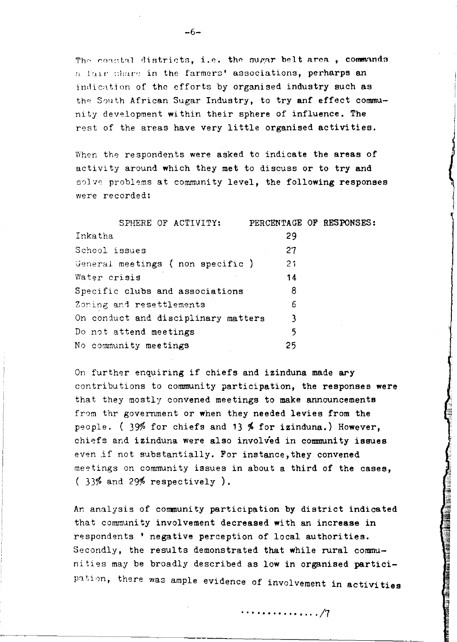The constal districts, i.e. the sugar belt area, commands a fair share in the farmers' associations, perharps an indication of the efforts by organised industry such as the South African Sugar Industry, to try anf effect community development within their sphere of influence. The rest of the areas have very little organised activities.

When the respondents were asked to indicate the areas of activity around which they met to discuss or to try and solve problems at community level, the following responses were recorded:

| SPHERE OF ACTIVITY:                 | PERCENTAGE OF RESPONSES: |  |
|-------------------------------------|--------------------------|--|
| Inkatha                             | 29                       |  |
| School issues                       | 27                       |  |
| General meetings (non specific)     | 21                       |  |
| Water crisis                        | 14                       |  |
| Specific clubs and associations     | 8                        |  |
| Zoning and resettlements            | 6                        |  |
| On conduct and disciplinary matters | 3                        |  |
| Do not attend meetings              | 5                        |  |
| No community meetings               | 25                       |  |
|                                     |                          |  |

On further enquiring if chiefs and izinduna made ary contributions to community participation, the responses were that they mostly convened meetings to make announcements from thr government or when they needed levies from the people. (  $39\%$  for chiefs and 13 % for izinduna.) However, chiefs and izinduna were also involved in community issues even if not substantially. For instance, they convened meetings on community issues in about a third of the cases,  $(33%$  and 29% respectively).

An analysis of community participation by district indicated that community involvement decreased with an increase in respondents' negative perception of local authorities. Secondly, the results demonstrated that while rural communities may be broadly described as low in organised participation, there was ample evidence of involvement in activities

**............... /7** 

**一个人的人,我们的人们的人们的人们,我们的人们的人们的人们的人们,我们的人们也不能在这里的人们的人们,我们的人们也不能在这里的人们的人们的人们的人们,我们也不能**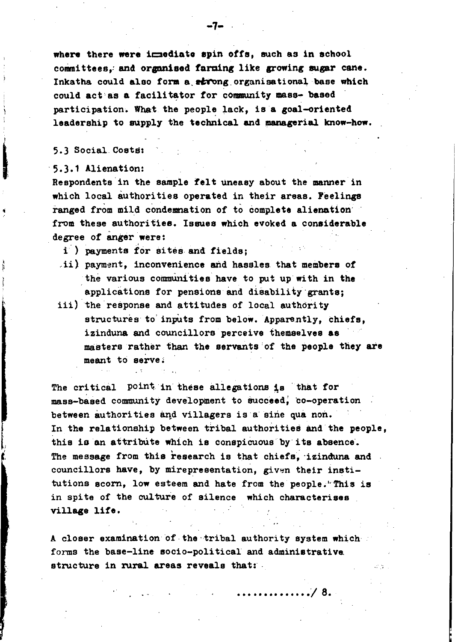where there were immediate spin offs, such as in school committees. and organised farming like growing sugar cane. Inkatha could also form a strong organisational base which could act as a facilitator for community mass- based participation. What the people lack, is a goal-oriented leadership to supply the technical and managerial know-how.

# 5.3 Social. Costs:

#### '5.3.1 Alienation:

Respondents in the sample felt uneasy about the manner in which local authorities operated in their areas. Peelings ranged from mild condemnation of to complete alienation from these authorities. Issues which evoked a considerable degree of anger were:

i) payments for sites and fields;

- ii) payment, inconvenience and hassles that members of the various communities have to put up with in the applications for pensions and disability grants;
- iii) the response and attitudes of local authority structures to inputs from below. Apparently, chiefs, izinduna and councillors perceive themselves a8 masters rather than the servants of the people they ate meant to serve;

The critical point in these allegations is that for mass-based community development to succeed, co-operation between authorities and villagers is a sine qua non. In the relationship between tribal authorities and the people, this is an attribute which is conspicuous by its absence. The message from this research is that chiefs. izinduna and councillors have, by mirepresentation, given their institutions scorn, low esteem and hate from the people."This is in spite of the culture of silence which characterises village life.

A closer examination of the 'tribal authority system which forms the base-line Bocio-poli tical and administrative, structure in rural areas reveals that:

**...../8.** 

-7-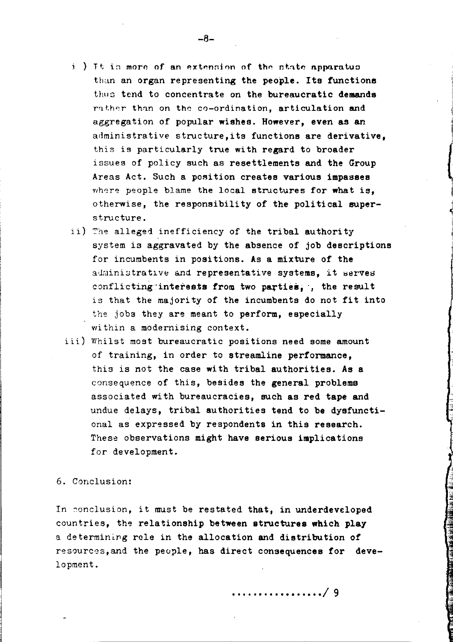- i) It is more of an extension of the state apparatus than an organ representing the people. Its functions thus tend to concentrate on the bureaucratic demands rather than on the co-ordination, articulation and aggregation of popular wishes. However, even as an administrative structure, its functions are derivative. this is particularly true with regard to broader issues of policy such as resettlements and the Group Areas Act. Such a position creates various impasses where people blame the local structures for what is. otherwise, the responsibility of the political superstructure.
- ii) The alleged inefficiency of the tribal authority system is aggravated by the absence of job descriptions for incumbents in positions. As a mixture of the administrative and representative systems. it serves conflicting interests from two parties, , the result is that the majority of the incumbents do not fit into the jobs they are meant to perform, especially within a modernising context.
- iii) Whilst most bureaucratic positions need some amount of training, in order to streamline performance. this is not the case with tribal authorities. As a consequence of this, besides the general problems associated with bureaucracies, such as red tape and undue delays, tribal authorities tend to be dysfunctional as expressed by respondents in this research. These observations might have serious implications for development.

# 6. Conclusion:

In conclusion, it must be restated that, in underdeveloped countries, the relationship between structures which play a determining rele in the allocation and distribution of resources, and the people, has direct consequences for development.

. . . . . . . . . . . . . . / 9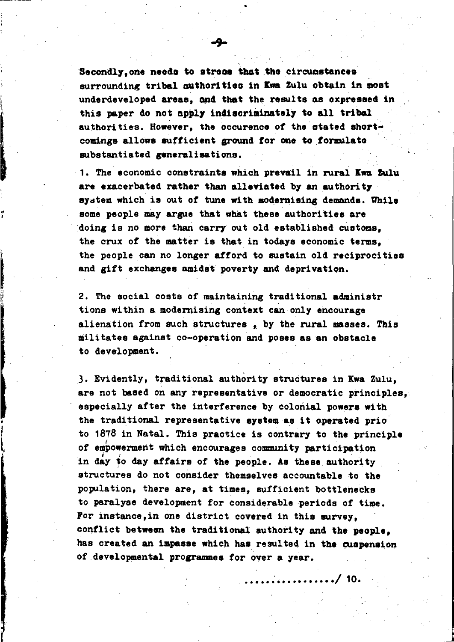Secondly. one needs to stress that the circumstances surrounding tribal authorities in Kwa Zulu obtain in most underdeveloped areas, and that the results as expressed in this paper do not apply indiscriminately to all tribal authorities. However, the occurence of the atated ahortcomings allows sufficient ground for one to formulate substantiated generalisationa.

1. The economic constraints which prevail in rural Ewa Zulu are exacerbated rather than alleviated by an authority system which is out of tune with modernising demands. While some people may argue that what these authorities are doing is no more than carry out old established customs. the crux of the matter is that in todays economic terms, the people can no longer afford to sustain old reciprocities and gift exchanges amidst poverty and deprivation.

.. ,

I J

2. The social costs of maintaining traditional adminiatr tions within a modernising context can only encourage alienation from such structures, by the rural masses. This militates against co-operation and poses as an obstacle to development.

3. Evidently, traditional authority structures in Kwa Zulu, are not based on any representative or democratic principles, especially after the interference by colonial powers with the traditional representative system as it operated prio to 1878 in Natal. This practice is contrary to the principle of empowerment which encourages community participation in day to day affairs of the people. As these authority structures do not consider themselves accountable to the population, there are, at times, sufficient bottlenecks to paralyse development for considerable periods of time. Por instance,in one district covered in this survey, conflict between the traditional authority and the people, has created an impasse which has resulted in the cuapension of developmental programmes for over a year.

**..... : ......•...• /19-**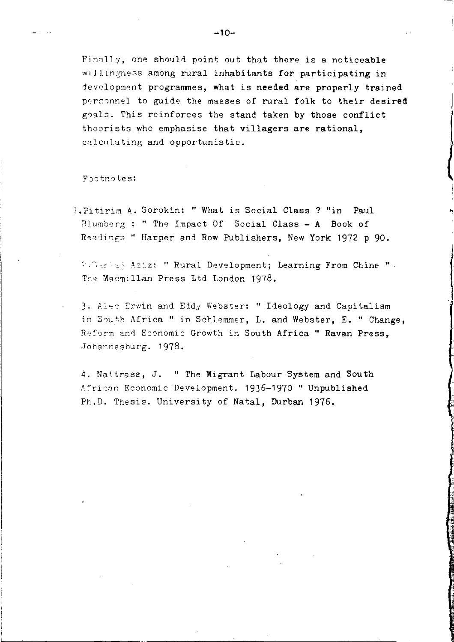Finally, one should point out that there is a noticeable willingness among rural inhabitants for participating in development programmes, what is needed are properly trained perconnel to guide the masses of rural folk to their desired goals. This reinforces the stand taken by those conflict thoorists who emphasise that villagers are rational, calculating and opportunistic.

Footnotes:

1. Pitirim A. Sorokin: " What is Social Class ? "in Paul Blumberg: "The Impact Of Social Class - A Book of Readings " Harper and Row Publishers, New York 1972 p 90.

2. Sariad Aziz: " Rural Development; Learning From China " -The Macmillan Press Ltd London 1978.

3. Also Erwin and Eddy Webster: " Ideology and Capitalism in South Africa " in Schlemmer. L. and Webster. E. " Change. Reform and Economic Growth in South Africa " Ravan Press. Johannesburg. 1978.

4. Nattrass, J. " The Migrant Labour System and South African Economic Development. 1936-1970 " Unpublished Ph.D. Thesis. University of Natal, Durban 1976.